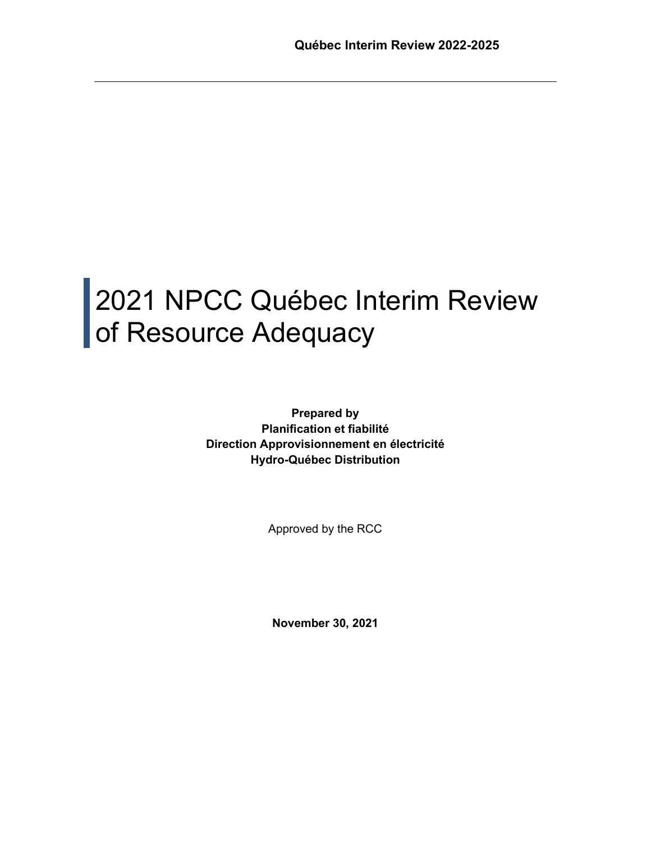# 2021 NPCC Québec Interim Review of Resource Adequacy

**Prepared by Planification et fiabilité Direction Approvisionnement en électricité Hydro-Québec Distribution**

Approved by the RCC

**November 30, 2021**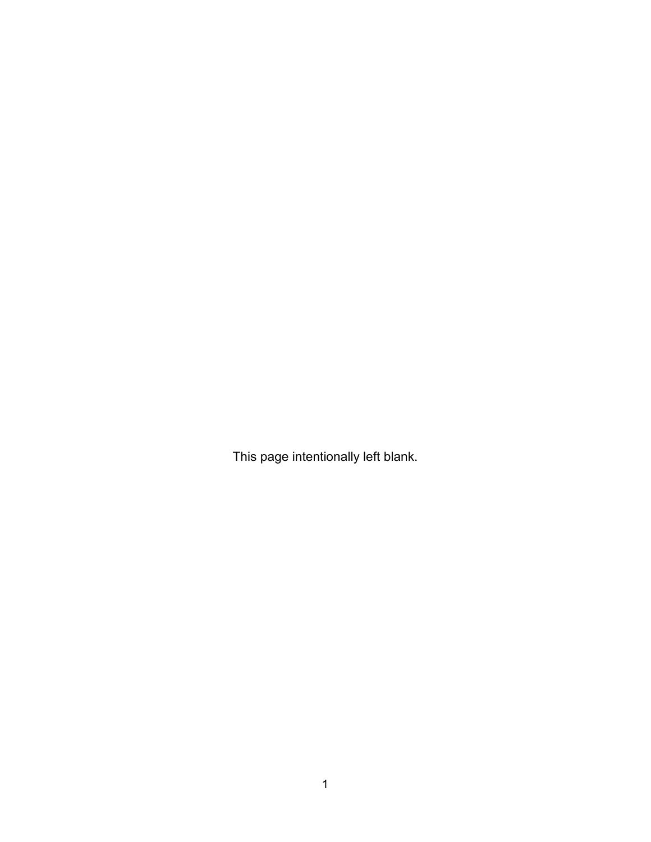This page intentionally left blank.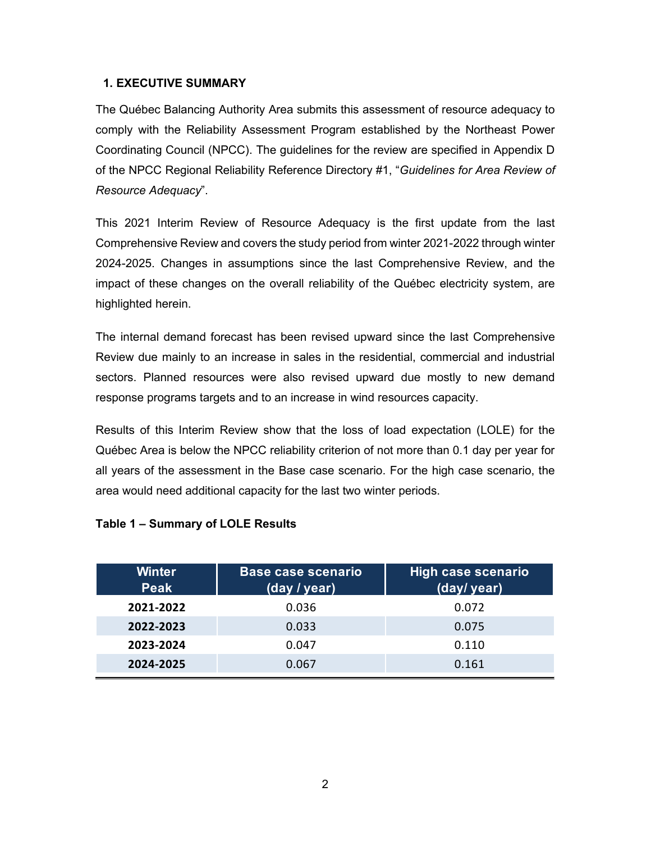## **1. EXECUTIVE SUMMARY**

The Québec Balancing Authority Area submits this assessment of resource adequacy to comply with the Reliability Assessment Program established by the Northeast Power Coordinating Council (NPCC). The guidelines for the review are specified in Appendix D of the NPCC Regional Reliability Reference Directory #1, "*Guidelines for Area Review of Resource Adequacy*".

This 2021 Interim Review of Resource Adequacy is the first update from the last Comprehensive Review and covers the study period from winter 2021-2022 through winter 2024-2025. Changes in assumptions since the last Comprehensive Review, and the impact of these changes on the overall reliability of the Québec electricity system, are highlighted herein.

The internal demand forecast has been revised upward since the last Comprehensive Review due mainly to an increase in sales in the residential, commercial and industrial sectors. Planned resources were also revised upward due mostly to new demand response programs targets and to an increase in wind resources capacity.

Results of this Interim Review show that the loss of load expectation (LOLE) for the Québec Area is below the NPCC reliability criterion of not more than 0.1 day per year for all years of the assessment in the Base case scenario. For the high case scenario, the area would need additional capacity for the last two winter periods.

| <b>Winter</b><br><b>Peak</b> | <b>Base case scenario</b><br>(day / year) | <b>High case scenario</b><br>(day/ year) |
|------------------------------|-------------------------------------------|------------------------------------------|
| 2021-2022                    | 0.036                                     | 0.072                                    |
| 2022-2023                    | 0.033                                     | 0.075                                    |
| 2023-2024                    | 0.047                                     | 0.110                                    |
| 2024-2025                    | 0.067                                     | 0.161                                    |

# **Table 1 – Summary of LOLE Results**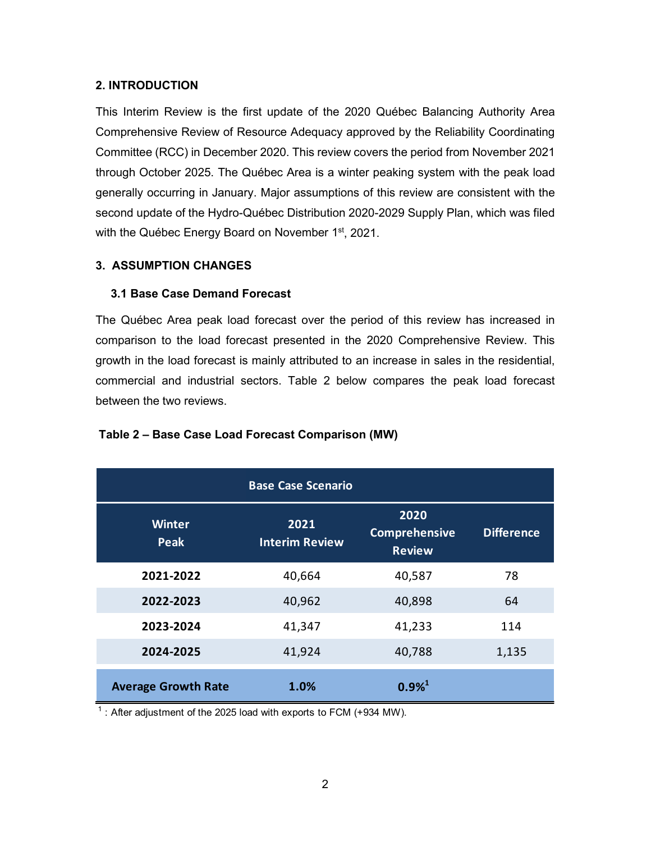## **2. INTRODUCTION**

This Interim Review is the first update of the 2020 Québec Balancing Authority Area Comprehensive Review of Resource Adequacy approved by the Reliability Coordinating Committee (RCC) in December 2020. This review covers the period from November 2021 through October 2025. The Québec Area is a winter peaking system with the peak load generally occurring in January. Major assumptions of this review are consistent with the second update of the Hydro-Québec Distribution 2020-2029 Supply Plan, which was filed with the Québec Energy Board on November 1<sup>st</sup>, 2021.

## **3. ASSUMPTION CHANGES**

## **3.1 Base Case Demand Forecast**

The Québec Area peak load forecast over the period of this review has increased in comparison to the load forecast presented in the 2020 Comprehensive Review. This growth in the load forecast is mainly attributed to an increase in sales in the residential, commercial and industrial sectors. Table 2 below compares the peak load forecast between the two reviews.

| <b>Base Case Scenario</b>    |                               |                                               |                   |  |  |
|------------------------------|-------------------------------|-----------------------------------------------|-------------------|--|--|
| <b>Winter</b><br><b>Peak</b> | 2021<br><b>Interim Review</b> | 2020<br><b>Comprehensive</b><br><b>Review</b> | <b>Difference</b> |  |  |
| 2021-2022                    | 40,664                        | 40,587                                        | 78                |  |  |
| 2022-2023                    | 40,962                        | 40,898                                        | 64                |  |  |
| 2023-2024                    | 41,347                        | 41,233                                        | 114               |  |  |
| 2024-2025                    | 41,924                        | 40,788                                        | 1,135             |  |  |
| <b>Average Growth Rate</b>   | 1.0%                          | $0.9%^{1}$                                    |                   |  |  |

# **Table 2 – Base Case Load Forecast Comparison (MW)**

 $1$  : After adjustment of the 2025 load with exports to FCM (+934 MW).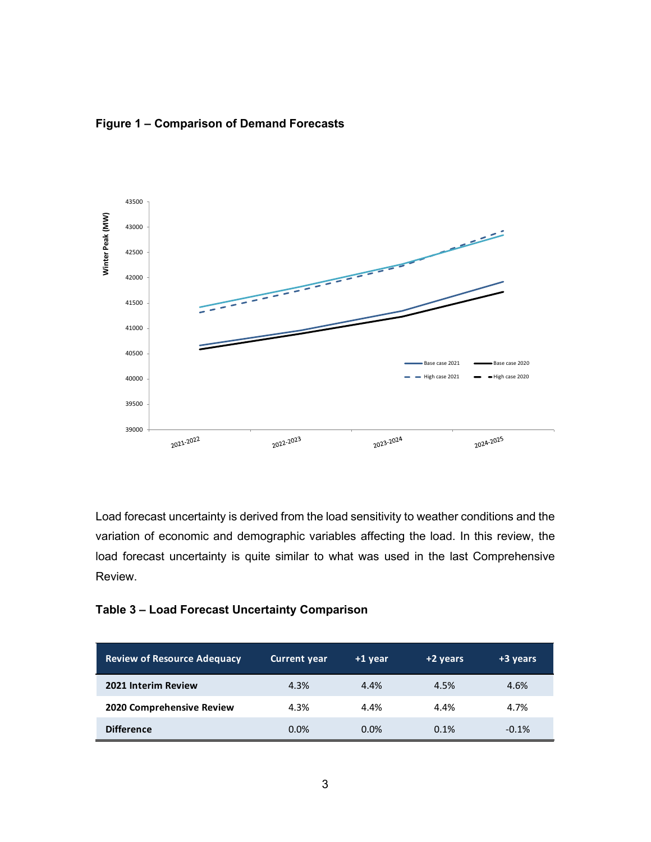

**Figure 1 – Comparison of Demand Forecasts**

Load forecast uncertainty is derived from the load sensitivity to weather conditions and the variation of economic and demographic variables affecting the load. In this review, the load forecast uncertainty is quite similar to what was used in the last Comprehensive Review.

### **Table 3 – Load Forecast Uncertainty Comparison**

| <b>Review of Resource Adequacy</b> | <b>Current year</b> | $+1$ year | +2 years | +3 years |
|------------------------------------|---------------------|-----------|----------|----------|
| 2021 Interim Review                | 4.3%                | 4.4%      | 4.5%     | 4.6%     |
| 2020 Comprehensive Review          | 4.3%                | 4.4%      | 4.4%     | 4.7%     |
| <b>Difference</b>                  | 0.0%                | 0.0%      | 0.1%     | $-0.1%$  |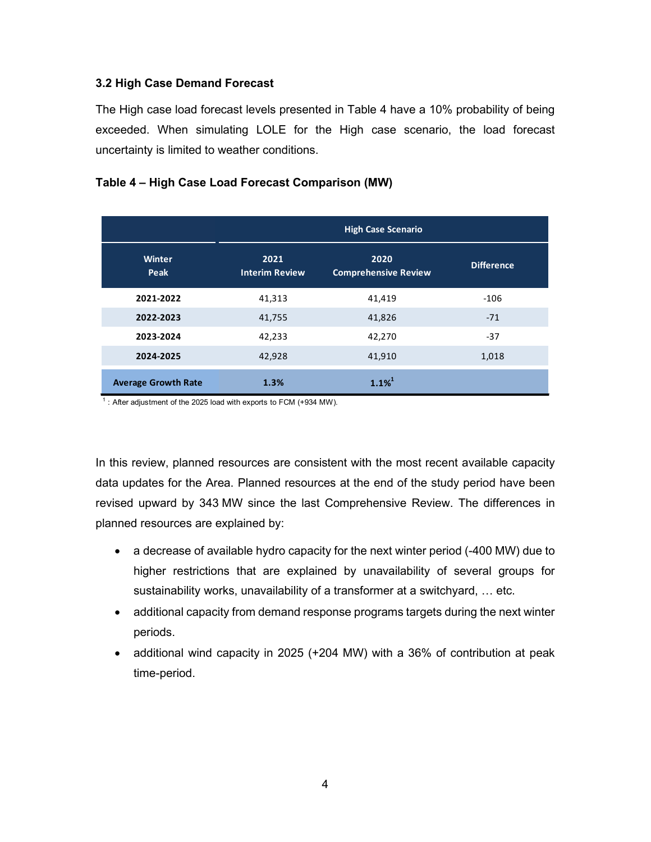## **3.2 High Case Demand Forecast**

The High case load forecast levels presented in Table 4 have a 10% probability of being exceeded. When simulating LOLE for the High case scenario, the load forecast uncertainty is limited to weather conditions.

|                            | <b>High Case Scenario</b>     |                                     |                   |  |
|----------------------------|-------------------------------|-------------------------------------|-------------------|--|
| <b>Winter</b><br>Peak      | 2021<br><b>Interim Review</b> | 2020<br><b>Comprehensive Review</b> | <b>Difference</b> |  |
| 2021-2022                  | 41,313                        | 41,419                              | $-106$            |  |
| 2022-2023                  | 41,755                        | 41,826                              | $-71$             |  |
| 2023-2024                  | 42,233                        | 42,270                              | $-37$             |  |
| 2024-2025                  | 42,928                        | 41,910                              | 1,018             |  |
| <b>Average Growth Rate</b> | 1.3%                          | $1.1\%$ <sup>1</sup>                |                   |  |

### **Table 4 – High Case Load Forecast Comparison (MW)**

 $1$  : After adjustment of the 2025 load with exports to FCM (+934 MW).

In this review, planned resources are consistent with the most recent available capacity data updates for the Area. Planned resources at the end of the study period have been revised upward by 343 MW since the last Comprehensive Review. The differences in planned resources are explained by:

- a decrease of available hydro capacity for the next winter period (-400 MW) due to higher restrictions that are explained by unavailability of several groups for sustainability works, unavailability of a transformer at a switchyard, … etc.
- additional capacity from demand response programs targets during the next winter periods.
- additional wind capacity in 2025 (+204 MW) with a 36% of contribution at peak time-period.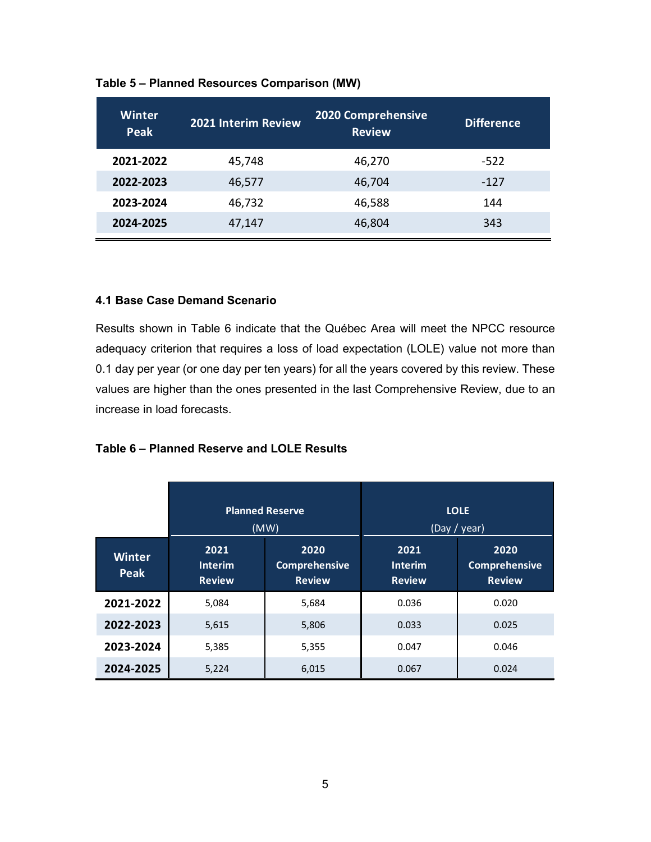| Winter<br>Peak | 2021 Interim Review | 2020 Comprehensive<br><b>Review</b> | <b>Difference</b> |
|----------------|---------------------|-------------------------------------|-------------------|
| 2021-2022      | 45,748              | 46,270                              | $-522$            |
| 2022-2023      | 46,577              | 46,704                              | $-127$            |
| 2023-2024      | 46,732              | 46,588                              | 144               |
| 2024-2025      | 47,147              | 46,804                              | 343               |

## **Table 5 – Planned Resources Comparison (MW)**

## **4.1 Base Case Demand Scenario**

Results shown in Table 6 indicate that the Québec Area will meet the NPCC resource adequacy criterion that requires a loss of load expectation (LOLE) value not more than 0.1 day per year (or one day per ten years) for all the years covered by this review. These values are higher than the ones presented in the last Comprehensive Review, due to an increase in load forecasts.

#### **Table 6 – Planned Reserve and LOLE Results**

|                              | <b>Planned Reserve</b><br>(MW)          |                                               |                                  | <b>LOLE</b><br>(Day / year)            |
|------------------------------|-----------------------------------------|-----------------------------------------------|----------------------------------|----------------------------------------|
| <b>Winter</b><br><b>Peak</b> | 2021<br><b>Interim</b><br><b>Review</b> | 2020<br><b>Comprehensive</b><br><b>Review</b> | 2021<br>Interim<br><b>Review</b> | 2020<br>Comprehensive<br><b>Review</b> |
| 2021-2022                    | 5,084                                   | 5,684                                         | 0.036                            | 0.020                                  |
| 2022-2023                    | 5,615                                   | 5,806                                         | 0.033                            | 0.025                                  |
| 2023-2024                    | 5,385                                   | 5,355                                         | 0.047                            | 0.046                                  |
| 2024-2025                    | 5,224                                   | 6,015                                         | 0.067                            | 0.024                                  |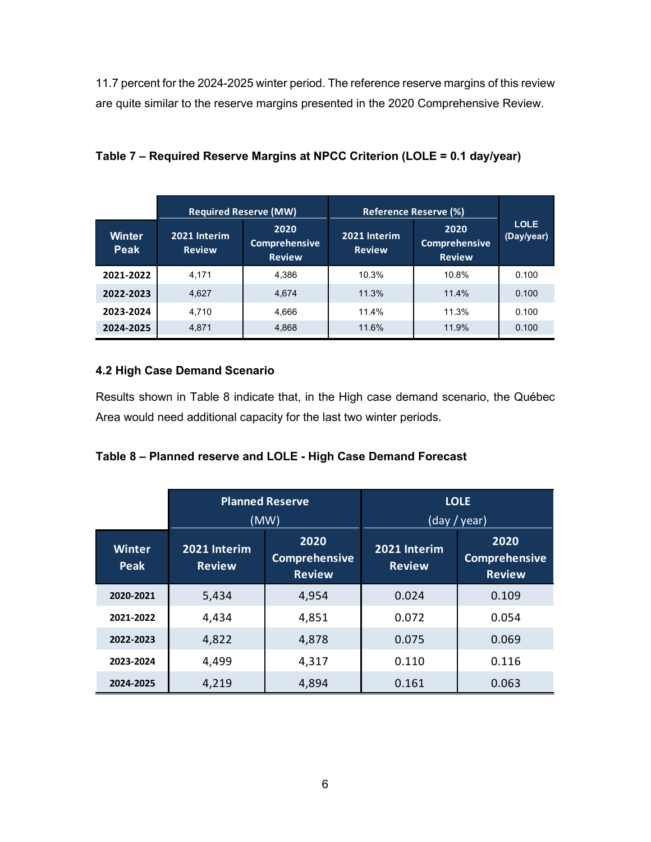11.7 percent for the 2024-2025 winter period. The reference reserve margins of this review are quite similar to the reserve margins presented in the 2020 Comprehensive Review.

|                       | <b>Required Reserve (MW)</b>  |                                               | <b>Reference Reserve (%)</b>  |                                        |                           |
|-----------------------|-------------------------------|-----------------------------------------------|-------------------------------|----------------------------------------|---------------------------|
| Winter<br><b>Peak</b> | 2021 Interim<br><b>Review</b> | 2020<br><b>Comprehensive</b><br><b>Review</b> | 2021 Interim<br><b>Review</b> | 2020<br>Comprehensive<br><b>Review</b> | <b>LOLE</b><br>(Day/year) |
| 2021-2022             | 4,171                         | 4.386                                         | 10.3%                         | 10.8%                                  | 0.100                     |
| 2022-2023             | 4,627                         | 4.674                                         | 11.3%                         | 11.4%                                  | 0.100                     |
| 2023-2024             | 4.710                         | 4,666                                         | 11.4%                         | 11.3%                                  | 0.100                     |
| 2024-2025             | 4,871                         | 4,868                                         | 11.6%                         | 11.9%                                  | 0.100                     |

|  |  |  | Table 7 – Required Reserve Margins at NPCC Criterion (LOLE = 0.1 day/year) |
|--|--|--|----------------------------------------------------------------------------|
|  |  |  |                                                                            |

# **4.2 High Case Demand Scenario**

Results shown in Table 8 indicate that, in the High case demand scenario, the Québec Area would need additional capacity for the last two winter periods.

|  | Table 8 – Planned reserve and LOLE - High Case Demand Forecast |
|--|----------------------------------------------------------------|
|--|----------------------------------------------------------------|

|                       | <b>Planned Reserve</b><br>(MW)                                          |       | <b>LOLE</b><br>(day / year)   |                                        |
|-----------------------|-------------------------------------------------------------------------|-------|-------------------------------|----------------------------------------|
| <b>Winter</b><br>Peak | 2020<br>2021 Interim<br>Comprehensive<br><b>Review</b><br><b>Review</b> |       | 2021 Interim<br><b>Review</b> | 2020<br>Comprehensive<br><b>Review</b> |
| 2020-2021             | 5,434                                                                   | 4,954 | 0.024                         | 0.109                                  |
| 2021-2022             | 4,434                                                                   | 4,851 | 0.072                         | 0.054                                  |
| 2022-2023             | 4,822                                                                   | 4,878 | 0.075                         | 0.069                                  |
| 2023-2024             | 4,499                                                                   | 4,317 | 0.110                         | 0.116                                  |
| 2024-2025             | 4,219                                                                   | 4,894 | 0.161                         | 0.063                                  |